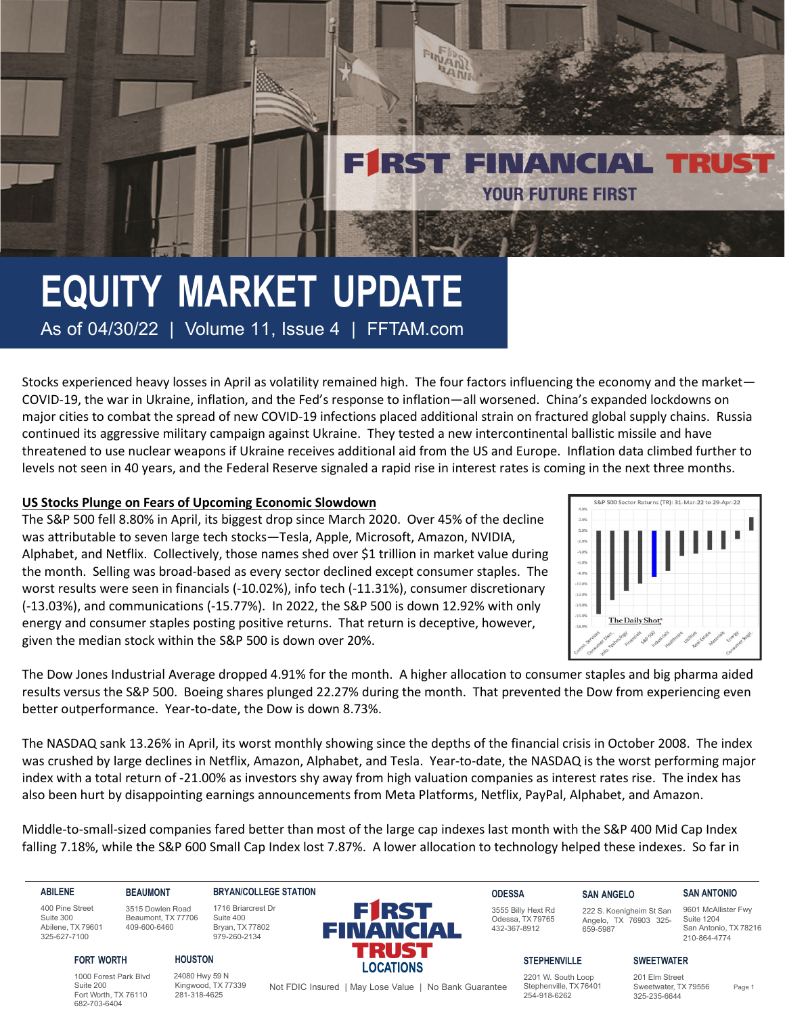Stocks experienced heavy losses in April as volatility remained high. The four factors influencing the economy and the market— COVID-19, the war in Ukraine, inflation, and the Fed's response to inflation—all worsened. China's expanded lockdowns on major cities to combat the spread of new COVID-19 infections placed additional strain on fractured global supply chains. Russia continued its aggressive military campaign against Ukraine. They tested a new intercontinental ballistic missile and have threatened to use nuclear weapons if Ukraine receives additional aid from the US and Europe. Inflation data climbed further to levels not seen in 40 years, and the Federal Reserve signaled a rapid rise in interest rates is coming in the next three months.

FINANT **BANK** 

**FIRST FINANCIAL TRU** 

**YOUR FUTURE FIRST** 

# **US Stocks Plunge on Fears of Upcoming Economic Slowdown**

The S&P 500 fell 8.80% in April, its biggest drop since March 2020. Over 45% of the decline was attributable to seven large tech stocks—Tesla, Apple, Microsoft, Amazon, NVIDIA, Alphabet, and Netflix. Collectively, those names shed over \$1 trillion in market value during the month. Selling was broad-based as every sector declined except consumer staples. The worst results were seen in financials (-10.02%), info tech (-11.31%), consumer discretionary (-13.03%), and communications (-15.77%). In 2022, the S&P 500 is down 12.92% with only energy and consumer staples posting positive returns. That return is deceptive, however, given the median stock within the S&P 500 is down over 20%.



The Dow Jones Industrial Average dropped 4.91% for the month. A higher allocation to consumer staples and big pharma aided results versus the S&P 500. Boeing shares plunged 22.27% during the month. That prevented the Dow from experiencing even better outperformance. Year-to-date, the Dow is down 8.73%.

The NASDAQ sank 13.26% in April, its worst monthly showing since the depths of the financial crisis in October 2008. The index was crushed by large declines in Netflix, Amazon, Alphabet, and Tesla. Year-to-date, the NASDAQ is the worst performing major index with a total return of -21.00% as investors shy away from high valuation companies as interest rates rise. The index has also been hurt by disappointing earnings announcements from Meta Platforms, Netflix, PayPal, Alphabet, and Amazon.

Middle-to-small-sized companies fared better than most of the large cap indexes last month with the S&P 400 Mid Cap Index falling 7.18%, while the S&P 600 Small Cap Index lost 7.87%. A lower allocation to technology helped these indexes. So far in

## **ABILENE**

400 Pine Street Suite 300 Abilene, TX 79601 325-627-7100

**FORT WORTH**

Suite 200

#### **BRYAN/COLLEGE STATION** 1716 Briarcrest Dr

Suite 400 Bryan, TX 77802 979-260-2134

3515 Dowlen Road Beaumont, TX 77706 409-600-6460

**BEAUMONT**

# **HOUSTON**

1000 Forest Park Blvd Fort Worth, TX 76110 682-703-6404 24080 Hwy 59 N Kingwood, TX 77339 281-318-4625

**FIRST** FINANCIAL



#### **SAN ANGELO** 222 S. Koenigheim St San

**SWEETWATER**

659-5987

Angelo, TX 76903 325- 9601 McAllister Fwy Suite 1204 San Antonio, TX 78216 210-864-4774

**SAN ANTONIO**

#### **STEPHENVILLE**

2201 W. South Loop Stephenville, TX 76401 254-918-6262

201 Elm Street Sweetwater, TX 79556 325-235-6644

Not FDIC Insured | May Lose Value | No Bank Guarantee Stephenville, TX 76401 Sweetwater, TX 79556 Page 1

**LOCATIONS**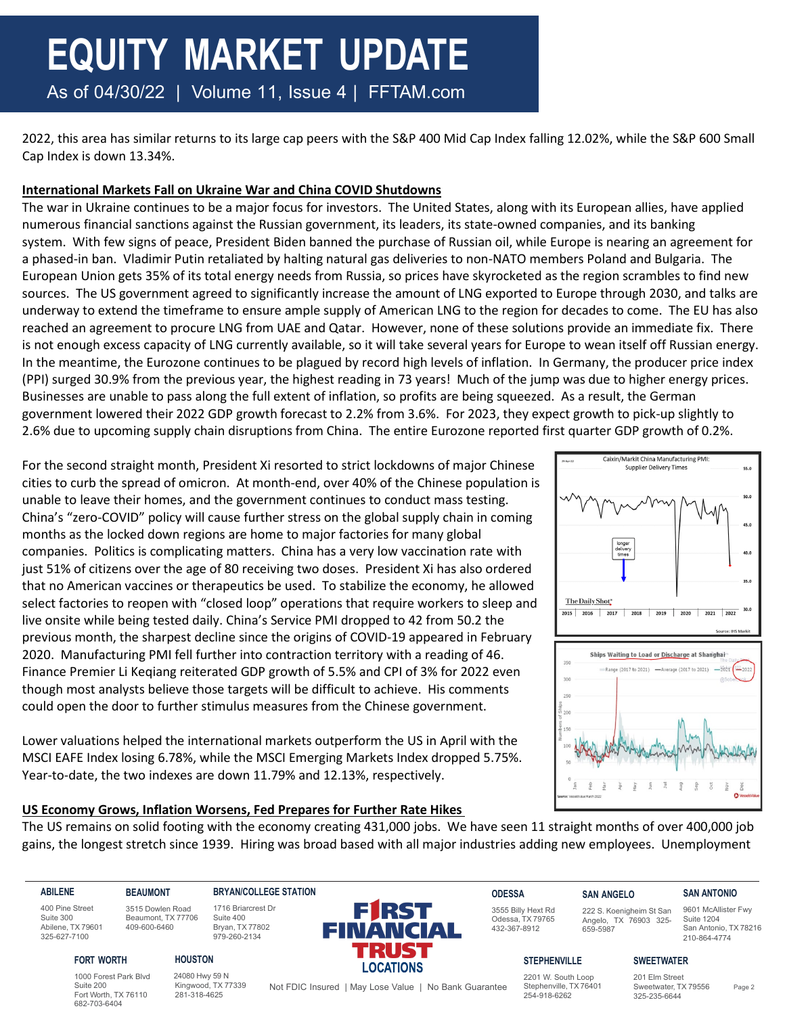2022, this area has similar returns to its large cap peers with the S&P 400 Mid Cap Index falling 12.02%, while the S&P 600 Small Cap Index is down 13.34%.

# **International Markets Fall on Ukraine War and China COVID Shutdowns**

The war in Ukraine continues to be a major focus for investors. The United States, along with its European allies, have applied numerous financial sanctions against the Russian government, its leaders, its state-owned companies, and its banking system. With few signs of peace, President Biden banned the purchase of Russian oil, while Europe is nearing an agreement for a phased-in ban. Vladimir Putin retaliated by halting natural gas deliveries to non-NATO members Poland and Bulgaria. The European Union gets 35% of its total energy needs from Russia, so prices have skyrocketed as the region scrambles to find new sources. The US government agreed to significantly increase the amount of LNG exported to Europe through 2030, and talks are underway to extend the timeframe to ensure ample supply of American LNG to the region for decades to come. The EU has also reached an agreement to procure LNG from UAE and Qatar. However, none of these solutions provide an immediate fix. There is not enough excess capacity of LNG currently available, so it will take several years for Europe to wean itself off Russian energy. In the meantime, the Eurozone continues to be plagued by record high levels of inflation. In Germany, the producer price index (PPI) surged 30.9% from the previous year, the highest reading in 73 years! Much of the jump was due to higher energy prices. Businesses are unable to pass along the full extent of inflation, so profits are being squeezed. As a result, the German government lowered their 2022 GDP growth forecast to 2.2% from 3.6%. For 2023, they expect growth to pick-up slightly to 2.6% due to upcoming supply chain disruptions from China. The entire Eurozone reported first quarter GDP growth of 0.2%.

For the second straight month, President Xi resorted to strict lockdowns of major Chinese cities to curb the spread of omicron. At month-end, over 40% of the Chinese population is unable to leave their homes, and the government continues to conduct mass testing. China's "zero-COVID" policy will cause further stress on the global supply chain in coming months as the locked down regions are home to major factories for many global companies. Politics is complicating matters. China has a very low vaccination rate with just 51% of citizens over the age of 80 receiving two doses. President Xi has also ordered that no American vaccines or therapeutics be used. To stabilize the economy, he allowed select factories to reopen with "closed loop" operations that require workers to sleep and live onsite while being tested daily. China's Service PMI dropped to 42 from 50.2 the previous month, the sharpest decline since the origins of COVID-19 appeared in February 2020. Manufacturing PMI fell further into contraction territory with a reading of 46. Finance Premier Li Keqiang reiterated GDP growth of 5.5% and CPI of 3% for 2022 even though most analysts believe those targets will be difficult to achieve. His comments could open the door to further stimulus measures from the Chinese government.

Lower valuations helped the international markets outperform the US in April with the MSCI EAFE Index losing 6.78%, while the MSCI Emerging Markets Index dropped 5.75%. Year-to-date, the two indexes are down 11.79% and 12.13%, respectively.



# **US Economy Grows, Inflation Worsens, Fed Prepares for Further Rate Hikes**

The US remains on solid footing with the economy creating 431,000 jobs. We have seen 11 straight months of over 400,000 job gains, the longest stretch since 1939. Hiring was broad based with all major industries adding new employees. Unemployment

**ABILENE**

400 Pine Street Suite 300 Abilene, TX 79601 325-627-7100

**FORT WORTH**

Suite 200 Fort Worth, TX 76110 682-703-6404

#### **BRYAN/COLLEGE STATION** 1716 Briarcrest Dr

Suite 400 Bryan, TX 77802 979-260-2134

3515 Dowlen Road Beaumont, TX 77706 409-600-6460

**BEAUMONT**

**HOUSTON**

1000 Forest Park Blvd 24080 Hwy 59 N Kingwood, TX 77339 281-318-4625



**ODESSA** 3555 Billy Hext Rd Odessa, TX 79765 432-367-8912

# **SAN ANGELO**

659-5987

222 S. Koenigheim St San Angelo, TX 76903 325- 9601 McAllister Fwy Suite 1204 San Antonio, TX 78216

**SAN ANTONIO**

210-864-4774

## **STEPHENVILLE**

2201 W. South Loop Stephenville, TX 76401 254-918-6262

**SWEETWATER**

201 Elm Street Sweetwater, TX 79556 325-235-6644

Not FDIC Insured | May Lose Value | No Bank Guarantee Stephenville, TX 76401 Sweetwater, TX 79556 Page 2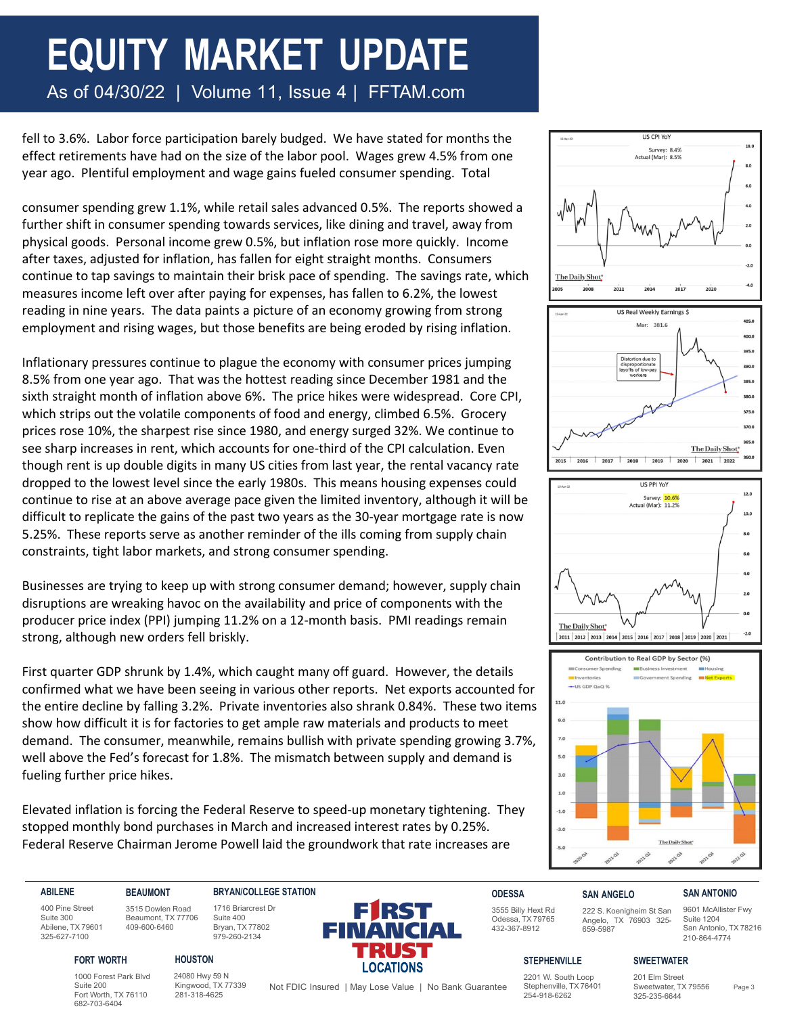fell to 3.6%. Labor force participation barely budged. We have stated for months the effect retirements have had on the size of the labor pool. Wages grew 4.5% from one year ago. Plentiful employment and wage gains fueled consumer spending. Total

consumer spending grew 1.1%, while retail sales advanced 0.5%. The reports showed a further shift in consumer spending towards services, like dining and travel, away from physical goods. Personal income grew 0.5%, but inflation rose more quickly. Income after taxes, adjusted for inflation, has fallen for eight straight months. Consumers continue to tap savings to maintain their brisk pace of spending. The savings rate, which measures income left over after paying for expenses, has fallen to 6.2%, the lowest reading in nine years. The data paints a picture of an economy growing from strong employment and rising wages, but those benefits are being eroded by rising inflation.

Inflationary pressures continue to plague the economy with consumer prices jumping 8.5% from one year ago. That was the hottest reading since December 1981 and the sixth straight month of inflation above 6%. The price hikes were widespread. Core CPI, which strips out the volatile components of food and energy, climbed 6.5%. Grocery prices rose 10%, the sharpest rise since 1980, and energy surged 32%. We continue to see sharp increases in rent, which accounts for one-third of the CPI calculation. Even though rent is up double digits in many US cities from last year, the rental vacancy rate dropped to the lowest level since the early 1980s. This means housing expenses could continue to rise at an above average pace given the limited inventory, although it will be difficult to replicate the gains of the past two years as the 30-year mortgage rate is now 5.25%. These reports serve as another reminder of the ills coming from supply chain constraints, tight labor markets, and strong consumer spending.

Businesses are trying to keep up with strong consumer demand; however, supply chain disruptions are wreaking havoc on the availability and price of components with the producer price index (PPI) jumping 11.2% on a 12-month basis. PMI readings remain strong, although new orders fell briskly.

First quarter GDP shrunk by 1.4%, which caught many off guard. However, the details confirmed what we have been seeing in various other reports. Net exports accounted for the entire decline by falling 3.2%. Private inventories also shrank 0.84%. These two items show how difficult it is for factories to get ample raw materials and products to meet demand. The consumer, meanwhile, remains bullish with private spending growing 3.7%, well above the Fed's forecast for 1.8%. The mismatch between supply and demand is fueling further price hikes.

Elevated inflation is forcing the Federal Reserve to speed-up monetary tightening. They stopped monthly bond purchases in March and increased interest rates by 0.25%. Federal Reserve Chairman Jerome Powell laid the groundwork that rate increases are







#### **ABILENE**

400 Pine Street Suite 300 Abilene, TX 79601 325-627-7100

**BRYAN/COLLEGE STATION**

#### 3515 Dowlen Road Beaumont, TX 77706 1716 Briarcrest Dr Suite 400 Bryan, TX 77802

979-260-2134



**ODESSA** 3555 Billy Hext Rd Odessa, TX 79765

432-367-8912

## **SAN ANGELO**

659-5987

222 S. Koenigheim St San Angelo, TX 76903 325-

9601 McAllister Fwy Suite 1204 San Antonio, TX 78216 210-864-4774

**SAN ANTONIO**

#### **FORT WORTH**

1000 Forest Park Blvd Suite 200 Fort Worth, TX 76110 682-703-6404

**BEAUMONT**

409-600-6460

24080 Hwy 59 N Kingwood, TX 77339 281-318-4625

**HOUSTON**

## **STEPHENVILLE**

Not FDIC Insured | May Lose Value | No Bank Guarantee Stephenville, TX 76401 Sweetwater, TX 79556 Page 3 2201 W. South Loop Stephenville, TX 76401 254-918-6262

201 Elm Street Sweetwater, TX 79556 325-235-6644

**SWEETWATER**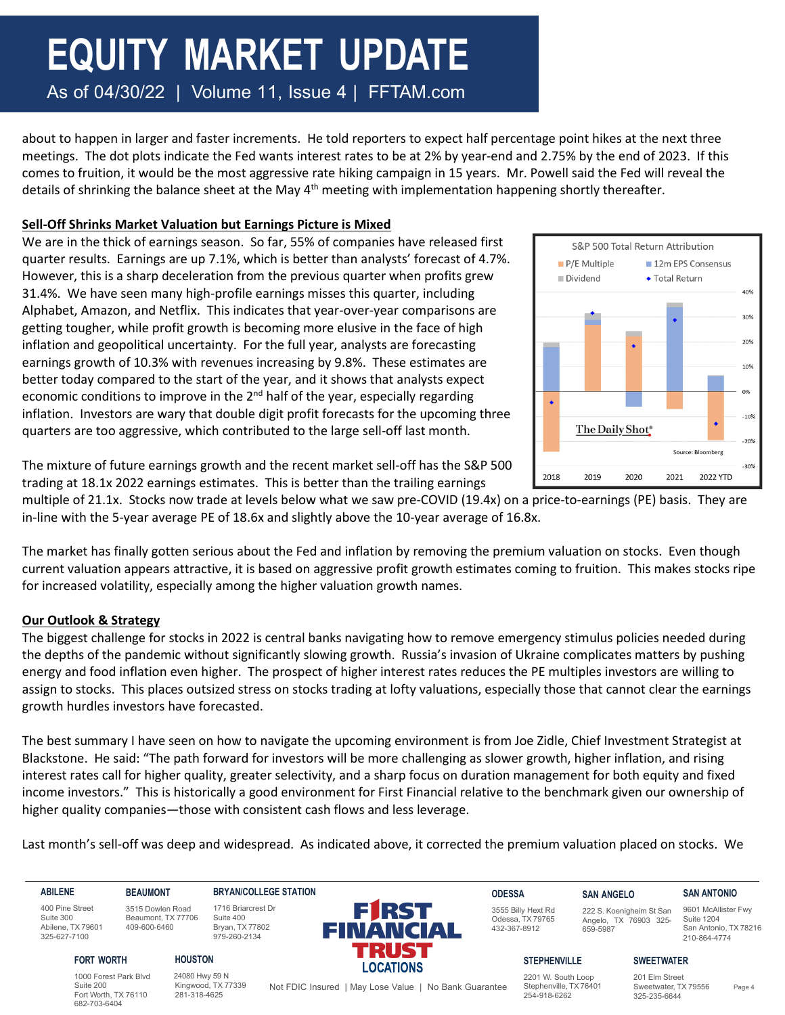about to happen in larger and faster increments. He told reporters to expect half percentage point hikes at the next three meetings. The dot plots indicate the Fed wants interest rates to be at 2% by year-end and 2.75% by the end of 2023. If this comes to fruition, it would be the most aggressive rate hiking campaign in 15 years. Mr. Powell said the Fed will reveal the details of shrinking the balance sheet at the May 4<sup>th</sup> meeting with implementation happening shortly thereafter.

# **Sell-Off Shrinks Market Valuation but Earnings Picture is Mixed**

We are in the thick of earnings season. So far, 55% of companies have released first quarter results. Earnings are up 7.1%, which is better than analysts' forecast of 4.7%. However, this is a sharp deceleration from the previous quarter when profits grew 31.4%. We have seen many high-profile earnings misses this quarter, including Alphabet, Amazon, and Netflix. This indicates that year-over-year comparisons are getting tougher, while profit growth is becoming more elusive in the face of high inflation and geopolitical uncertainty. For the full year, analysts are forecasting earnings growth of 10.3% with revenues increasing by 9.8%. These estimates are better today compared to the start of the year, and it shows that analysts expect economic conditions to improve in the  $2<sup>nd</sup>$  half of the year, especially regarding inflation. Investors are wary that double digit profit forecasts for the upcoming three quarters are too aggressive, which contributed to the large sell-off last month.



The mixture of future earnings growth and the recent market sell-off has the S&P 500 trading at 18.1x 2022 earnings estimates. This is better than the trailing earnings

multiple of 21.1x. Stocks now trade at levels below what we saw pre-COVID (19.4x) on a price-to-earnings (PE) basis. They are in-line with the 5-year average PE of 18.6x and slightly above the 10-year average of 16.8x.

The market has finally gotten serious about the Fed and inflation by removing the premium valuation on stocks. Even though current valuation appears attractive, it is based on aggressive profit growth estimates coming to fruition. This makes stocks ripe for increased volatility, especially among the higher valuation growth names.

# **Our Outlook & Strategy**

The biggest challenge for stocks in 2022 is central banks navigating how to remove emergency stimulus policies needed during the depths of the pandemic without significantly slowing growth. Russia's invasion of Ukraine complicates matters by pushing energy and food inflation even higher. The prospect of higher interest rates reduces the PE multiples investors are willing to assign to stocks. This places outsized stress on stocks trading at lofty valuations, especially those that cannot clear the earnings growth hurdles investors have forecasted.

The best summary I have seen on how to navigate the upcoming environment is from Joe Zidle, Chief Investment Strategist at Blackstone. He said: "The path forward for investors will be more challenging as slower growth, higher inflation, and rising interest rates call for higher quality, greater selectivity, and a sharp focus on duration management for both equity and fixed income investors." This is historically a good environment for First Financial relative to the benchmark given our ownership of higher quality companies—those with consistent cash flows and less leverage.

Last month's sell-off was deep and widespread. As indicated above, it corrected the premium valuation placed on stocks. We

Suite 200

682-703-6404

**BEAUMONT** 3515 Dowlen Road Beaumont, TX 77706 409-600-6460 **BRYAN/COLLEGE STATION**

**HOUSTON**

1716 Briarcrest Dr Suite 400 Bryan, TX 77802 979-260-2134



**ODESSA** 3555 Billy Hext Rd Odessa, TX 79765 432-367-8912

#### **SAN ANGELO** 222 S. Koenigheim St San Angelo, TX 76903 325-

659-5987

**SAN ANTONIO** 9601 McAllister Fwy

Suite 1204 San Antonio, TX 78216 210-864-4774

400 Pine Street Suite 300 Abilene, TX 79601 325-627-7100

**FORT WORTH**

1000 Forest Park Blvd Fort Worth, TX 76110 24080 Hwy 59 N 281-318-4625

Kingwood, TX 77339

Not FDIC Insured | May Lose Value | No Bank Guarantee Stephenville, TX 76401 Sweetwater, TX 79556 Page 4

2201 W. South Loop Stephenville, TX 76401 254-918-6262

**STEPHENVILLE**

**SWEETWATER** 201 Elm Street Sweetwater, TX 79556 325-235-6644